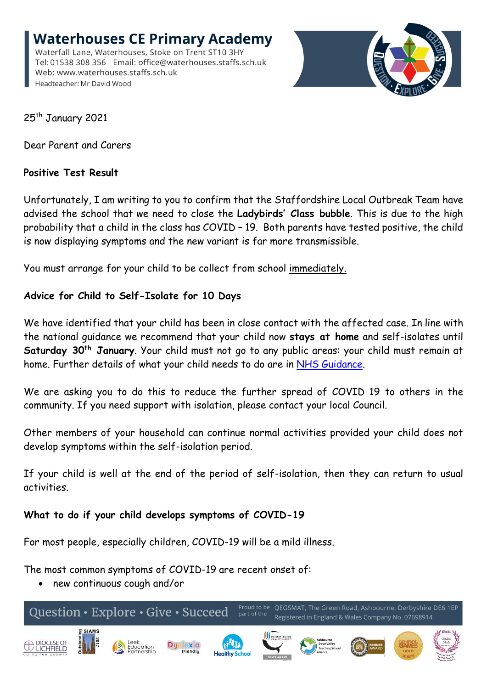**Waterhouses CE Primary Academy** Waterfall Lane, Waterhouses, Stoke on Trent ST10 3HY Tel: 01538 308 356 Email: office@waterhouses.staffs.sch.uk Web: www.waterhouses.staffs.sch.uk Headteacher: Mr David Wood



25<sup>th</sup> January 2021

Dear Parent and Carers

# **Positive Test Result**

Unfortunately, I am writing to you to confirm that the Staffordshire Local Outbreak Team have advised the school that we need to close the **Ladybirds' Class bubble**. This is due to the high probability that a child in the class has COVID – 19. Both parents have tested positive, the child is now displaying symptoms and the new variant is far more transmissible.

You must arrange for your child to be collect from school immediately.

# **Advice for Child to Self-Isolate for 10 Days**

We have identified that your child has been in close contact with the affected case. In line with the national guidance we recommend that your child now **stays at home** and self-isolates until **Saturday 30th January**. Your child must not go to any public areas: your child must remain at home. Further details of what your child needs to do are in [NHS Guidance.](https://www.nhs.uk/conditions/coronavirus-covid-19/testing-and-tracing/nhs-test-and-trace-if-youve-been-in-contact-with-a-person-who-has-coronavirus/)

We are asking you to do this to reduce the further spread of COVID 19 to others in the community. If you need support with isolation, please contact your local Council.

Other members of your household can continue normal activities provided your child does not develop symptoms within the self-isolation period.

If your child is well at the end of the period of self-isolation, then they can return to usual activities.

# **What to do if your child develops symptoms of COVID-19**

For most people, especially children, COVID-19 will be a mild illness.

The most common symptoms of COVID-19 are recent onset of:

new continuous cough and/or